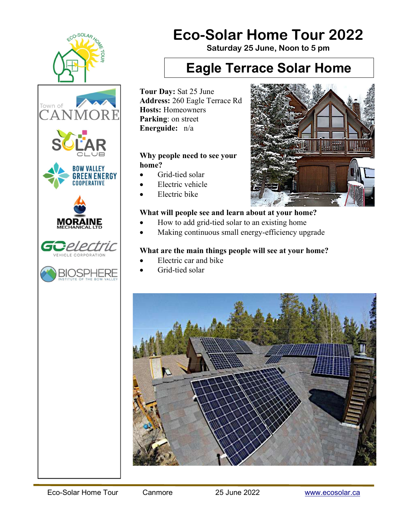

# Eco-Solar Home Tour 2022

Saturday 25 June, Noon to 5 pm

### Eagle Terrace Solar Home

Tour Day: Sat 25 June Address: 260 Eagle Terrace Rd Hosts: Homeowners Parking: on street Energuide: n/a

#### Why people need to see your home?

- Grid-tied solar
- Electric vehicle
- Electric bike

#### What will people see and learn about at your home?

- How to add grid-tied solar to an existing home
- Making continuous small energy-efficiency upgrade

#### What are the main things people will see at your home?

- Electric car and bike
- Grid-tied solar